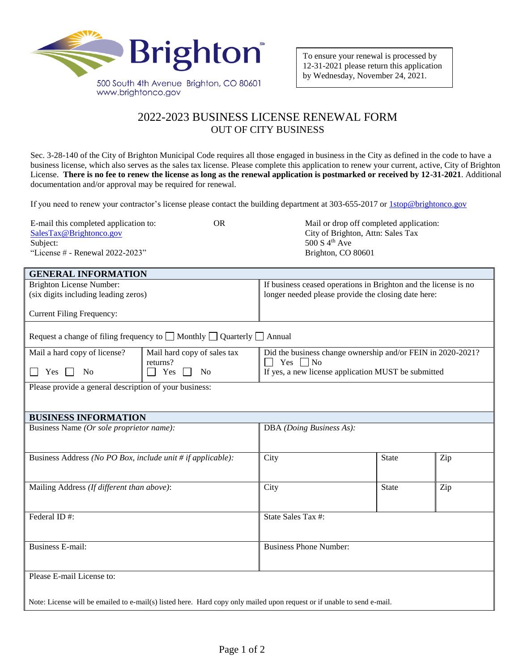

**GENERAL INFORMATION**

## 2022-2023 BUSINESS LICENSE RENEWAL FORM OUT OF CITY BUSINESS

Sec. 3-28-140 of the City of Brighton Municipal Code requires all those engaged in business in the City as defined in the code to have a business license, which also serves as the sales tax license. Please complete this application to renew your current, active, City of Brighton License. **There is no fee to renew the license as long as the renewal application is postmarked or received by 12-31-2021**. Additional documentation and/or approval may be required for renewal.

If you need to renew your contractor's license please contact the building department at 303-655-2017 or [1stop@brightonco.gov](mailto:1stop@brightonco.gov)

| E-mail this completed application to: | OR | Mail or drop off completed application: |
|---------------------------------------|----|-----------------------------------------|
| SalesTax@Brightonco.gov               |    | City of Brighton, Attn: Sales Tax       |
| Subject:                              |    | 500 S $4^{th}$ Ave                      |
| "License $#$ - Renewal 2022-2023"     |    | Brighton, CO 80601                      |
|                                       |    |                                         |

| oerteral in origination                                                                                                 |                                                                                                                                                                                                                                                                                                                    |                                                                 |                                                                                                                                                                                                    |  |  |
|-------------------------------------------------------------------------------------------------------------------------|--------------------------------------------------------------------------------------------------------------------------------------------------------------------------------------------------------------------------------------------------------------------------------------------------------------------|-----------------------------------------------------------------|----------------------------------------------------------------------------------------------------------------------------------------------------------------------------------------------------|--|--|
| <b>Brighton License Number:</b>                                                                                         |                                                                                                                                                                                                                                                                                                                    | If business ceased operations in Brighton and the license is no |                                                                                                                                                                                                    |  |  |
| (six digits including leading zeros)                                                                                    |                                                                                                                                                                                                                                                                                                                    |                                                                 |                                                                                                                                                                                                    |  |  |
|                                                                                                                         |                                                                                                                                                                                                                                                                                                                    |                                                                 |                                                                                                                                                                                                    |  |  |
|                                                                                                                         |                                                                                                                                                                                                                                                                                                                    |                                                                 |                                                                                                                                                                                                    |  |  |
|                                                                                                                         |                                                                                                                                                                                                                                                                                                                    |                                                                 |                                                                                                                                                                                                    |  |  |
|                                                                                                                         |                                                                                                                                                                                                                                                                                                                    |                                                                 |                                                                                                                                                                                                    |  |  |
| Request a change of filing frequency to $\Box$ Monthly $\Box$ Quarterly $\Box$ Annual                                   |                                                                                                                                                                                                                                                                                                                    |                                                                 |                                                                                                                                                                                                    |  |  |
|                                                                                                                         |                                                                                                                                                                                                                                                                                                                    |                                                                 |                                                                                                                                                                                                    |  |  |
|                                                                                                                         |                                                                                                                                                                                                                                                                                                                    |                                                                 |                                                                                                                                                                                                    |  |  |
|                                                                                                                         |                                                                                                                                                                                                                                                                                                                    |                                                                 |                                                                                                                                                                                                    |  |  |
|                                                                                                                         |                                                                                                                                                                                                                                                                                                                    |                                                                 |                                                                                                                                                                                                    |  |  |
|                                                                                                                         |                                                                                                                                                                                                                                                                                                                    |                                                                 |                                                                                                                                                                                                    |  |  |
|                                                                                                                         |                                                                                                                                                                                                                                                                                                                    |                                                                 |                                                                                                                                                                                                    |  |  |
|                                                                                                                         |                                                                                                                                                                                                                                                                                                                    |                                                                 |                                                                                                                                                                                                    |  |  |
|                                                                                                                         |                                                                                                                                                                                                                                                                                                                    |                                                                 |                                                                                                                                                                                                    |  |  |
|                                                                                                                         |                                                                                                                                                                                                                                                                                                                    |                                                                 |                                                                                                                                                                                                    |  |  |
|                                                                                                                         |                                                                                                                                                                                                                                                                                                                    |                                                                 |                                                                                                                                                                                                    |  |  |
|                                                                                                                         |                                                                                                                                                                                                                                                                                                                    |                                                                 |                                                                                                                                                                                                    |  |  |
|                                                                                                                         |                                                                                                                                                                                                                                                                                                                    |                                                                 |                                                                                                                                                                                                    |  |  |
|                                                                                                                         |                                                                                                                                                                                                                                                                                                                    |                                                                 | Zip                                                                                                                                                                                                |  |  |
|                                                                                                                         |                                                                                                                                                                                                                                                                                                                    |                                                                 |                                                                                                                                                                                                    |  |  |
|                                                                                                                         |                                                                                                                                                                                                                                                                                                                    |                                                                 |                                                                                                                                                                                                    |  |  |
|                                                                                                                         |                                                                                                                                                                                                                                                                                                                    |                                                                 | Zip                                                                                                                                                                                                |  |  |
|                                                                                                                         |                                                                                                                                                                                                                                                                                                                    |                                                                 |                                                                                                                                                                                                    |  |  |
|                                                                                                                         |                                                                                                                                                                                                                                                                                                                    |                                                                 |                                                                                                                                                                                                    |  |  |
| Federal ID#:                                                                                                            |                                                                                                                                                                                                                                                                                                                    | State Sales Tax #:                                              |                                                                                                                                                                                                    |  |  |
|                                                                                                                         |                                                                                                                                                                                                                                                                                                                    |                                                                 |                                                                                                                                                                                                    |  |  |
|                                                                                                                         |                                                                                                                                                                                                                                                                                                                    |                                                                 |                                                                                                                                                                                                    |  |  |
| <b>Business E-mail:</b>                                                                                                 |                                                                                                                                                                                                                                                                                                                    | <b>Business Phone Number:</b>                                   |                                                                                                                                                                                                    |  |  |
|                                                                                                                         |                                                                                                                                                                                                                                                                                                                    |                                                                 |                                                                                                                                                                                                    |  |  |
|                                                                                                                         |                                                                                                                                                                                                                                                                                                                    |                                                                 |                                                                                                                                                                                                    |  |  |
| Please E-mail License to:                                                                                               |                                                                                                                                                                                                                                                                                                                    |                                                                 |                                                                                                                                                                                                    |  |  |
|                                                                                                                         |                                                                                                                                                                                                                                                                                                                    |                                                                 |                                                                                                                                                                                                    |  |  |
|                                                                                                                         |                                                                                                                                                                                                                                                                                                                    |                                                                 |                                                                                                                                                                                                    |  |  |
| Note: License will be emailed to e-mail(s) listed here. Hard copy only mailed upon request or if unable to send e-mail. |                                                                                                                                                                                                                                                                                                                    |                                                                 |                                                                                                                                                                                                    |  |  |
|                                                                                                                         | Mail hard copy of sales tax<br>returns?<br>Yes<br>N <sub>0</sub><br>Please provide a general description of your business:<br><b>BUSINESS INFORMATION</b><br>Business Name (Or sole proprietor name):<br>Business Address (No PO Box, include unit # if applicable):<br>Mailing Address (If different than above): | Yes $\n $ No<br>DBA (Doing Business As):<br>City<br>City        | longer needed please provide the closing date here:<br>Did the business change ownership and/or FEIN in 2020-2021?<br>If yes, a new license application MUST be submitted<br><b>State</b><br>State |  |  |